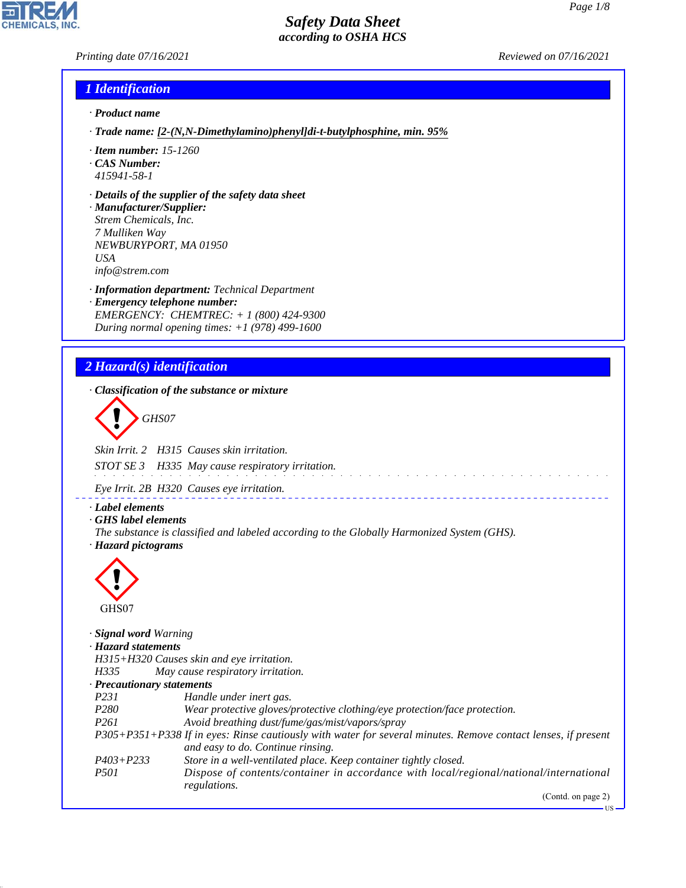*Printing date 07/16/2021 Reviewed on 07/16/2021*

## *1 Identification*

- *· Product name*
- *· Trade name: [2-(N,N-Dimethylamino)phenyl]di-t-butylphosphine, min. 95%*
- *· Item number: 15-1260*
- *· CAS Number: 415941-58-1*
- *· Details of the supplier of the safety data sheet*
- *· Manufacturer/Supplier: Strem Chemicals, Inc. 7 Mulliken Way NEWBURYPORT, MA 01950 USA info@strem.com*
- *· Information department: Technical Department · Emergency telephone number: EMERGENCY: CHEMTREC: + 1 (800) 424-9300 During normal opening times: +1 (978) 499-1600*

# *2 Hazard(s) identification*

44.1.1

*· Classification of the substance or mixture* d~*GHS07 Skin Irrit. 2 H315 Causes skin irritation. STOT SE 3 H335 May cause respiratory irritation. Eye Irrit. 2B H320 Causes eye irritation. · Label elements · GHS label elements The substance is classified and labeled according to the Globally Harmonized System (GHS). · Hazard pictograms*  $\langle \cdot \rangle$ GHS07 *· Signal word Warning · Hazard statements H315+H320 Causes skin and eye irritation. H335 May cause respiratory irritation. · Precautionary statements P231 Handle under inert gas. P280 Wear protective gloves/protective clothing/eye protection/face protection. P261 Avoid breathing dust/fume/gas/mist/vapors/spray P305+P351+P338 If in eyes: Rinse cautiously with water for several minutes. Remove contact lenses, if present and easy to do. Continue rinsing. P403+P233 Store in a well-ventilated place. Keep container tightly closed. P501 Dispose of contents/container in accordance with local/regional/national/international regulations.* (Contd. on page 2)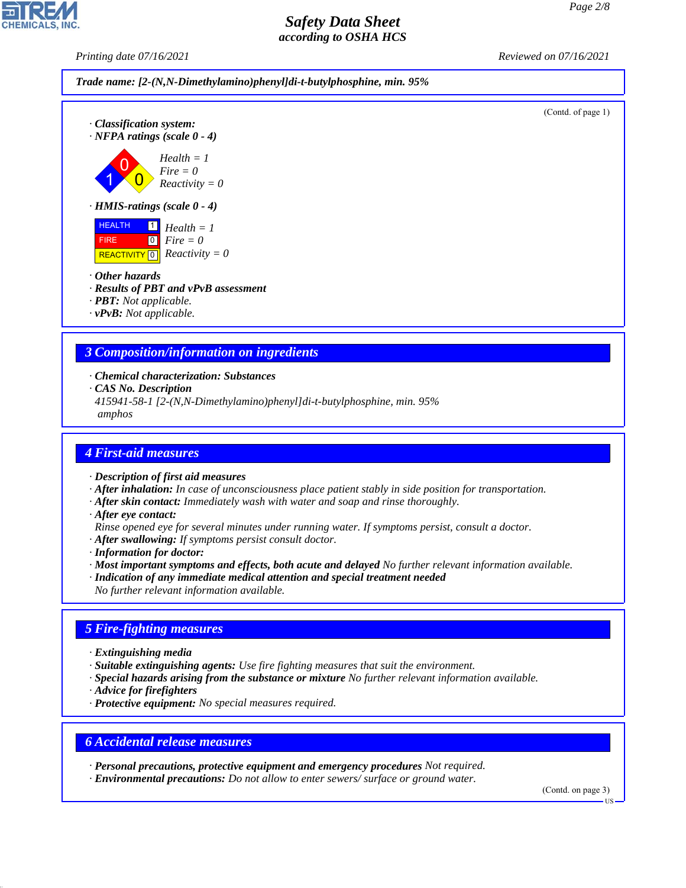(Contd. of page 1)

## *Safety Data Sheet according to OSHA HCS*

*Printing date 07/16/2021 Reviewed on 07/16/2021*







*· Results of PBT and vPvB assessment*

*· PBT: Not applicable.*

*· vPvB: Not applicable.*

# *3 Composition/information on ingredients*

*· Chemical characterization: Substances*

*· CAS No. Description*

*415941-58-1 [2-(N,N-Dimethylamino)phenyl]di-t-butylphosphine, min. 95% amphos*

## *4 First-aid measures*

*· Description of first aid measures*

- *· After inhalation: In case of unconsciousness place patient stably in side position for transportation.*
- *· After skin contact: Immediately wash with water and soap and rinse thoroughly.*
- *· After eye contact:*

*Rinse opened eye for several minutes under running water. If symptoms persist, consult a doctor.*

*· After swallowing: If symptoms persist consult doctor.*

*· Information for doctor:*

- *· Most important symptoms and effects, both acute and delayed No further relevant information available.*
- *· Indication of any immediate medical attention and special treatment needed*
- *No further relevant information available.*

## *5 Fire-fighting measures*

*· Extinguishing media*

- *· Suitable extinguishing agents: Use fire fighting measures that suit the environment.*
- *· Special hazards arising from the substance or mixture No further relevant information available.*
- *· Advice for firefighters*

44.1.1

*· Protective equipment: No special measures required.*

## *6 Accidental release measures*

- *· Personal precautions, protective equipment and emergency procedures Not required.*
- *· Environmental precautions: Do not allow to enter sewers/ surface or ground water.*

(Contd. on page 3)

US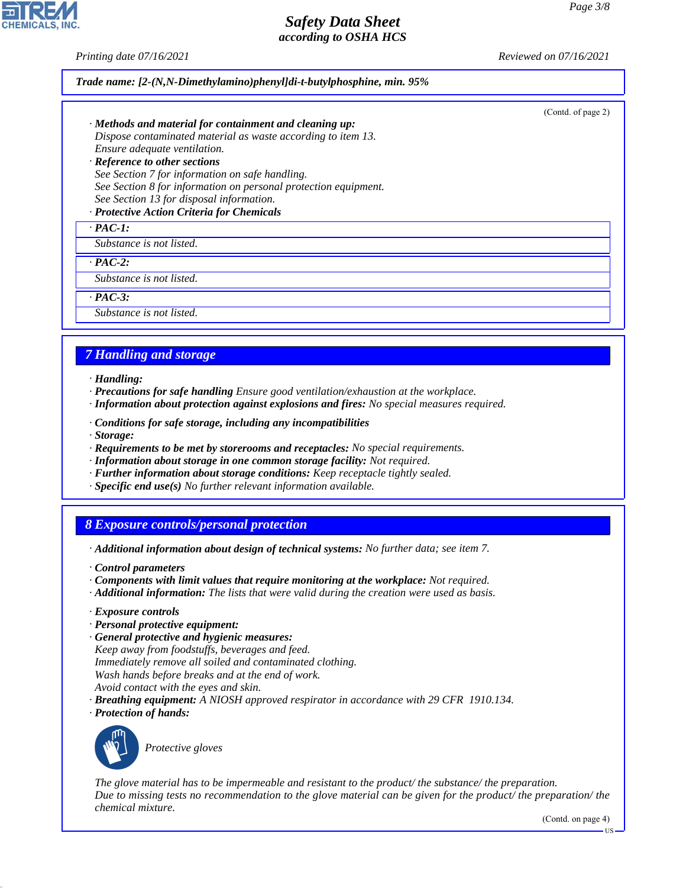*Printing date 07/16/2021 Reviewed on 07/16/2021*

#### *Trade name: [2-(N,N-Dimethylamino)phenyl]di-t-butylphosphine, min. 95%*

(Contd. of page 2)

- *· Methods and material for containment and cleaning up: Dispose contaminated material as waste according to item 13. Ensure adequate ventilation. · Reference to other sections*
- *See Section 7 for information on safe handling. See Section 8 for information on personal protection equipment. See Section 13 for disposal information.*

## *· Protective Action Criteria for Chemicals*

*· PAC-1:*

*Substance is not listed.*

*· PAC-2:*

*Substance is not listed.*

*· PAC-3:*

*Substance is not listed.*

## *7 Handling and storage*

- *· Handling:*
- *· Precautions for safe handling Ensure good ventilation/exhaustion at the workplace.*
- *· Information about protection against explosions and fires: No special measures required.*
- *· Conditions for safe storage, including any incompatibilities*
- *· Storage:*
- *· Requirements to be met by storerooms and receptacles: No special requirements.*
- *· Information about storage in one common storage facility: Not required.*
- *· Further information about storage conditions: Keep receptacle tightly sealed.*
- *· Specific end use(s) No further relevant information available.*

## *8 Exposure controls/personal protection*

- *· Additional information about design of technical systems: No further data; see item 7.*
- *· Control parameters*
- *· Components with limit values that require monitoring at the workplace: Not required.*
- *· Additional information: The lists that were valid during the creation were used as basis.*
- *· Exposure controls*
- *· Personal protective equipment:*
- *· General protective and hygienic measures:*

*Keep away from foodstuffs, beverages and feed.*

- *Immediately remove all soiled and contaminated clothing.*
- *Wash hands before breaks and at the end of work.*
- *Avoid contact with the eyes and skin.*
- *· Breathing equipment: A NIOSH approved respirator in accordance with 29 CFR 1910.134.*
- *· Protection of hands:*



44.1.1

\_S*Protective gloves*

*The glove material has to be impermeable and resistant to the product/ the substance/ the preparation. Due to missing tests no recommendation to the glove material can be given for the product/ the preparation/ the chemical mixture.*

(Contd. on page 4)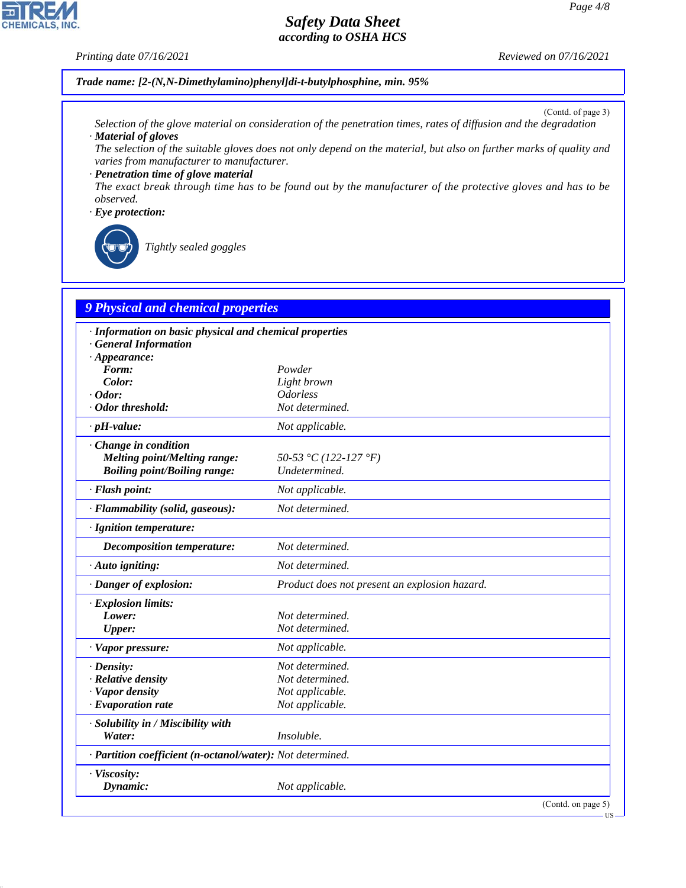### *Printing date 07/16/2021 Reviewed on 07/16/2021*

**CHEMICALS, INC.** 

*Trade name: [2-(N,N-Dimethylamino)phenyl]di-t-butylphosphine, min. 95%*

(Contd. of page 3)

- *Selection of the glove material on consideration of the penetration times, rates of diffusion and the degradation · Material of gloves*
- *The selection of the suitable gloves does not only depend on the material, but also on further marks of quality and varies from manufacturer to manufacturer.*

*· Penetration time of glove material The exact break through time has to be found out by the manufacturer of the protective gloves and has to be observed.*

#### *· Eye protection:*



44.1.1

\_R*Tightly sealed goggles*

# *9 Physical and chemical properties*

| · Information on basic physical and chemical properties    |                                               |  |  |  |  |
|------------------------------------------------------------|-----------------------------------------------|--|--|--|--|
| <b>General Information</b>                                 |                                               |  |  |  |  |
| $\cdot$ Appearance:                                        |                                               |  |  |  |  |
| Form:<br>Color:                                            | Powder<br>Light brown                         |  |  |  |  |
| $\cdot$ Odor:                                              | <b>Odorless</b>                               |  |  |  |  |
| · Odor threshold:                                          | Not determined.                               |  |  |  |  |
|                                                            |                                               |  |  |  |  |
| $\cdot$ pH-value:                                          | Not applicable.                               |  |  |  |  |
| Change in condition                                        |                                               |  |  |  |  |
| <b>Melting point/Melting range:</b>                        | 50-53 °C (122-127 °F)                         |  |  |  |  |
| <b>Boiling point/Boiling range:</b>                        | Undetermined.                                 |  |  |  |  |
| · Flash point:                                             | Not applicable.                               |  |  |  |  |
| · Flammability (solid, gaseous):                           | Not determined.                               |  |  |  |  |
| · Ignition temperature:                                    |                                               |  |  |  |  |
| Decomposition temperature:                                 | Not determined.                               |  |  |  |  |
| · Auto igniting:                                           | Not determined.                               |  |  |  |  |
| · Danger of explosion:                                     | Product does not present an explosion hazard. |  |  |  |  |
| · Explosion limits:                                        |                                               |  |  |  |  |
| Lower:                                                     | Not determined.                               |  |  |  |  |
| <b>Upper:</b>                                              | Not determined.                               |  |  |  |  |
| · Vapor pressure:                                          | Not applicable.                               |  |  |  |  |
| $\cdot$ Density:                                           | Not determined.                               |  |  |  |  |
| · Relative density                                         | Not determined.                               |  |  |  |  |
| · Vapor density                                            | Not applicable.                               |  |  |  |  |
| $\cdot$ Evaporation rate                                   | Not applicable.                               |  |  |  |  |
| · Solubility in / Miscibility with                         |                                               |  |  |  |  |
| Water:                                                     | Insoluble.                                    |  |  |  |  |
| · Partition coefficient (n-octanol/water): Not determined. |                                               |  |  |  |  |
| · Viscosity:                                               |                                               |  |  |  |  |
| Dynamic:                                                   | Not applicable.                               |  |  |  |  |
|                                                            | (Contd. on page 5)                            |  |  |  |  |

US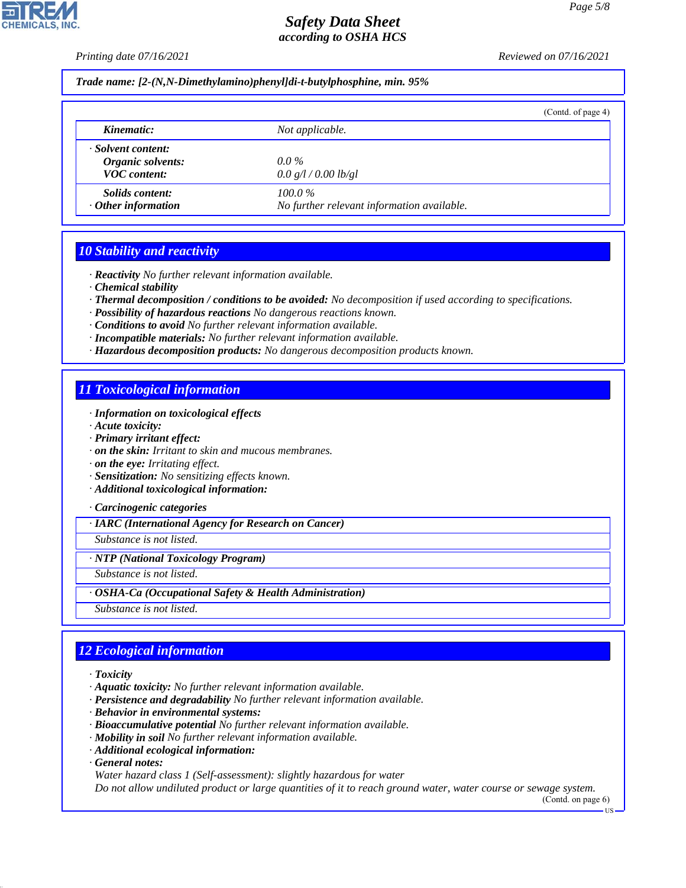*Printing date 07/16/2021 Reviewed on 07/16/2021*

*Trade name: [2-(N,N-Dimethylamino)phenyl]di-t-butylphosphine, min. 95%*

|                           |                                            | (Contd. of page 4) |
|---------------------------|--------------------------------------------|--------------------|
| Kinematic:                | Not applicable.                            |                    |
| · Solvent content:        |                                            |                    |
| Organic solvents:         | $0.0\%$                                    |                    |
| <b>VOC</b> content:       | 0.0 g/l / 0.00 lb/gl                       |                    |
| Solids content:           | $100.0\%$                                  |                    |
| $\cdot$ Other information | No further relevant information available. |                    |

## *10 Stability and reactivity*

*· Reactivity No further relevant information available.*

*· Chemical stability*

*· Thermal decomposition / conditions to be avoided: No decomposition if used according to specifications.*

- *· Possibility of hazardous reactions No dangerous reactions known.*
- *· Conditions to avoid No further relevant information available.*
- *· Incompatible materials: No further relevant information available.*
- *· Hazardous decomposition products: No dangerous decomposition products known.*

## *11 Toxicological information*

- *· Information on toxicological effects*
- *· Acute toxicity:*
- *· Primary irritant effect:*
- *· on the skin: Irritant to skin and mucous membranes.*

*· on the eye: Irritating effect.*

- *· Sensitization: No sensitizing effects known.*
- *· Additional toxicological information:*

*· Carcinogenic categories*

*· IARC (International Agency for Research on Cancer)*

*Substance is not listed.*

*· NTP (National Toxicology Program)*

*Substance is not listed.*

*· OSHA-Ca (Occupational Safety & Health Administration)*

*Substance is not listed.*

# *12 Ecological information*

- *· Toxicity*
- *· Aquatic toxicity: No further relevant information available.*
- *· Persistence and degradability No further relevant information available.*
- *· Behavior in environmental systems:*
- *· Bioaccumulative potential No further relevant information available.*
- *· Mobility in soil No further relevant information available.*
- *· Additional ecological information:*
- *· General notes:*

44.1.1

*Water hazard class 1 (Self-assessment): slightly hazardous for water*

*Do not allow undiluted product or large quantities of it to reach ground water, water course or sewage system.*

(Contd. on page 6)

**HS**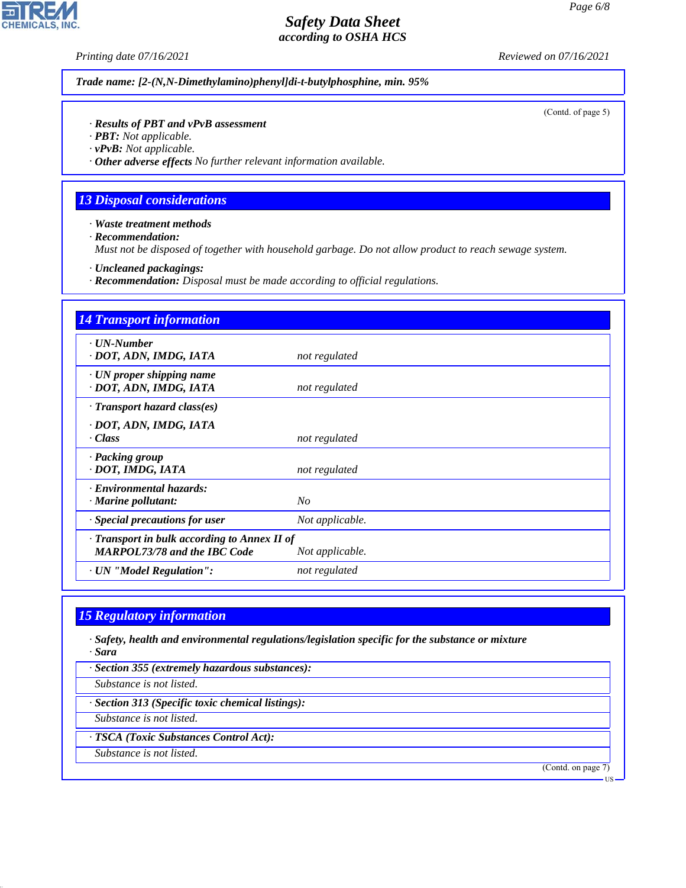**CHEMICALS, INC.** 

*Printing date 07/16/2021 Reviewed on 07/16/2021*

*Trade name: [2-(N,N-Dimethylamino)phenyl]di-t-butylphosphine, min. 95%*

(Contd. of page 5)

### *· Results of PBT and vPvB assessment*

*· PBT: Not applicable.*

*· vPvB: Not applicable.*

*· Other adverse effects No further relevant information available.*

## *13 Disposal considerations*

*· Waste treatment methods*

*· Recommendation:*

*Must not be disposed of together with household garbage. Do not allow product to reach sewage system.*

*· Uncleaned packagings:*

*· Recommendation: Disposal must be made according to official regulations.*

| <b>14 Transport information</b>                                                     |                 |
|-------------------------------------------------------------------------------------|-----------------|
| $\cdot$ <i>UN-Number</i><br>· DOT, ADN, IMDG, IATA                                  | not regulated   |
| $\cdot$ UN proper shipping name<br>· DOT, ADN, IMDG, IATA                           | not regulated   |
| $\cdot$ Transport hazard class(es)                                                  |                 |
| · DOT, ADN, IMDG, IATA<br>· Class                                                   | not regulated   |
| · Packing group<br>· DOT, IMDG, IATA                                                | not regulated   |
| · Environmental hazards:<br>$\cdot$ Marine pollutant:                               | No              |
| Special precautions for user                                                        | Not applicable. |
| · Transport in bulk according to Annex II of<br><b>MARPOL73/78 and the IBC Code</b> | Not applicable. |
| · UN "Model Regulation":                                                            | not regulated   |

# *15 Regulatory information*

*· Safety, health and environmental regulations/legislation specific for the substance or mixture · Sara*

*· Section 355 (extremely hazardous substances):*

*Substance is not listed.*

*· Section 313 (Specific toxic chemical listings):*

*Substance is not listed.*

*· TSCA (Toxic Substances Control Act):*

*Substance is not listed.*

44.1.1

(Contd. on page 7)

US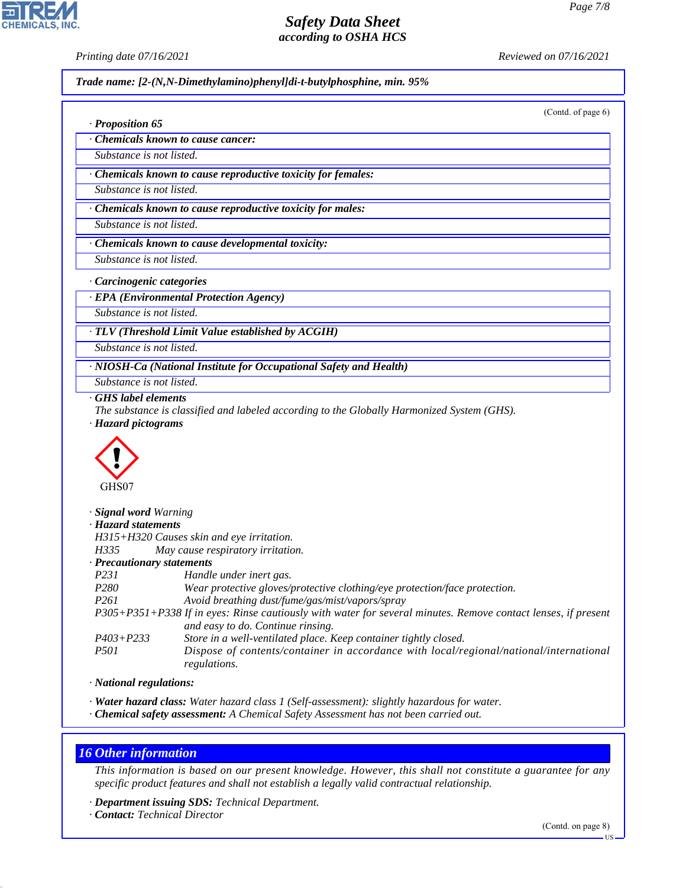**CHEMICALS, INC** 

*· Proposition 65*

*Printing date 07/16/2021 Reviewed on 07/16/2021*

*Trade name: [2-(N,N-Dimethylamino)phenyl]di-t-butylphosphine, min. 95%*

(Contd. of page 6)

| Chemicals known to cause cancer: |  |  |
|----------------------------------|--|--|

*Substance is not listed.*

*· Chemicals known to cause reproductive toxicity for females:*

*Substance is not listed.*

*· Chemicals known to cause reproductive toxicity for males:*

*Substance is not listed.*

*· Chemicals known to cause developmental toxicity:*

*Substance is not listed.*

*· Carcinogenic categories*

*· EPA (Environmental Protection Agency)*

*Substance is not listed.*

*· TLV (Threshold Limit Value established by ACGIH)*

*Substance is not listed.*

*· NIOSH-Ca (National Institute for Occupational Safety and Health)*

*Substance is not listed.*

*· GHS label elements*

*The substance is classified and labeled according to the Globally Harmonized System (GHS). · Hazard pictograms*



| Signal word Warning                                                                                           |
|---------------------------------------------------------------------------------------------------------------|
| · Hazard statements                                                                                           |
| H315+H320 Causes skin and eye irritation.                                                                     |
| May cause respiratory irritation.                                                                             |
| $\cdot$ Precautionary statements                                                                              |
| Handle under inert gas.                                                                                       |
| Wear protective gloves/protective clothing/eye protection/face protection.                                    |
| Avoid breathing dust/fume/gas/mist/vapors/spray                                                               |
| P305+P351+P338 If in eyes: Rinse cautiously with water for several minutes. Remove contact lenses, if present |
| and easy to do. Continue rinsing.                                                                             |
| Store in a well-ventilated place. Keep container tightly closed.                                              |
| Dispose of contents/container in accordance with local/regional/national/international<br>regulations.        |
|                                                                                                               |

*· National regulations:*

*· Water hazard class: Water hazard class 1 (Self-assessment): slightly hazardous for water.*

*· Chemical safety assessment: A Chemical Safety Assessment has not been carried out.*

## *16 Other information*

44.1.1

*This information is based on our present knowledge. However, this shall not constitute a guarantee for any specific product features and shall not establish a legally valid contractual relationship.*

*· Department issuing SDS: Technical Department.*

*· Contact: Technical Director*